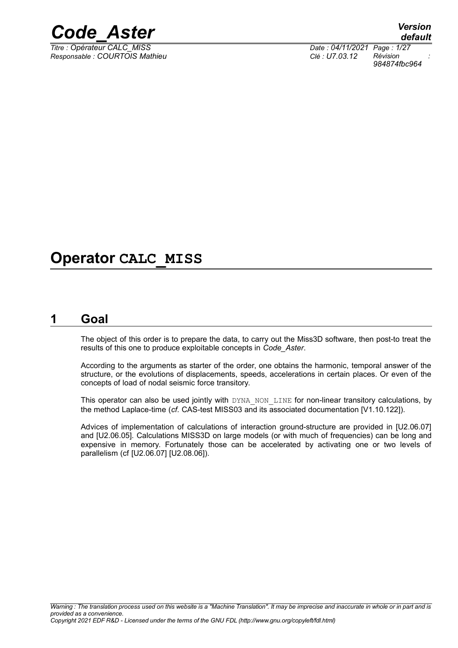

*Responsable : COURTOIS Mathieu Clé : U7.03.12 Révision :*

*default Titre : Opérateur CALC\_MISS Date : 04/11/2021 Page : 1/27 984874fbc964*

# **Operator CALC\_MISS**

# **1 Goal**

<span id="page-0-0"></span>The object of this order is to prepare the data, to carry out the Miss3D software, then post-to treat the results of this one to produce exploitable concepts in *Code\_Aster*.

According to the arguments as starter of the order, one obtains the harmonic, temporal answer of the structure, or the evolutions of displacements, speeds, accelerations in certain places. Or even of the concepts of load of nodal seismic force transitory.

This operator can also be used jointly with DYNA\_NON\_LINE for non-linear transitory calculations, by the method Laplace-time (*cf.* CAS-test MISS03 and its associated documentation [V1.10.122]).

Advices of implementation of calculations of interaction ground-structure are provided in [U2.06.07] and [U2.06.05]. Calculations MISS3D on large models (or with much of frequencies) can be long and expensive in memory. Fortunately those can be accelerated by activating one or two levels of parallelism (cf [U2.06.07] [U2.08.06]).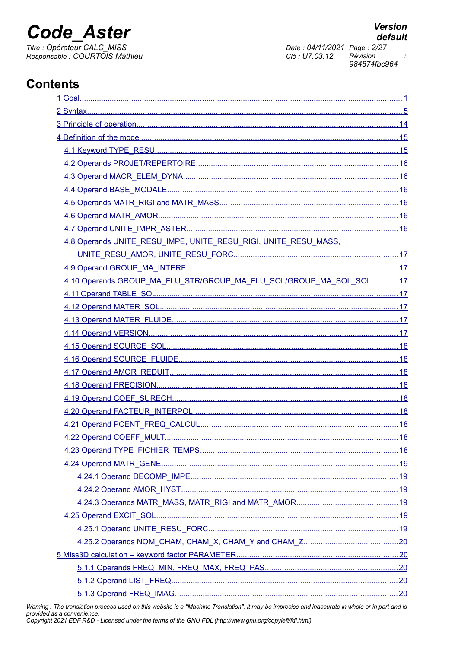# **Code Aster**

Titre : Opérateur CALC\_MISS Responsable : COURTOIS Mathieu Date: 04/11/2021 Page: 2/27 Clé : U7.03.12 Révision 984874fbc964

# **Contents**

| 4.8 Operands UNITE_RESU_IMPE, UNITE_RESU_RIGI, UNITE_RESU_MASS,    |  |
|--------------------------------------------------------------------|--|
|                                                                    |  |
|                                                                    |  |
| 4.10 Operands GROUP_MA_FLU_STR/GROUP_MA_FLU_SOL/GROUP_MA_SOL_SOL17 |  |
|                                                                    |  |
|                                                                    |  |
|                                                                    |  |
|                                                                    |  |
|                                                                    |  |
|                                                                    |  |
|                                                                    |  |
|                                                                    |  |
|                                                                    |  |
|                                                                    |  |
|                                                                    |  |
|                                                                    |  |
|                                                                    |  |
|                                                                    |  |
|                                                                    |  |
|                                                                    |  |
|                                                                    |  |
|                                                                    |  |
|                                                                    |  |
|                                                                    |  |
|                                                                    |  |
|                                                                    |  |
|                                                                    |  |
|                                                                    |  |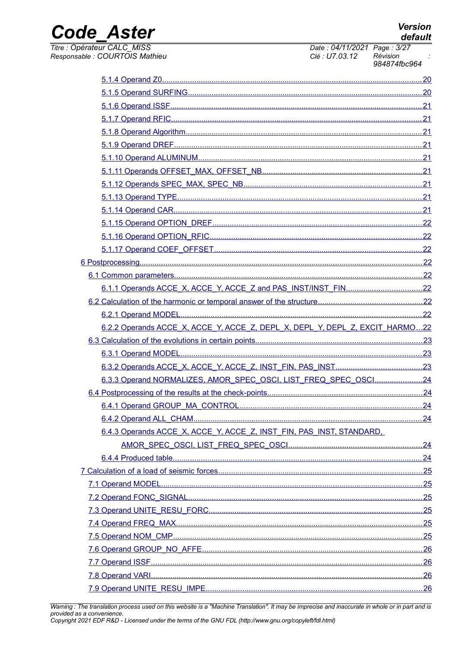**Version** default

# **Code Aster**

Titre : Opérateur CALC\_MISS Responsable : COURTOIS Mathieu Date: 04/11/2021 Page: 3/27 Clé : U7.03.12 Révision 984874fbc964

| 6.2.2 Operands ACCE X, ACCE Y, ACCE Z, DEPL X, DEPL Y, DEPL Z, EXCIT HARMO22 |  |
|------------------------------------------------------------------------------|--|
|                                                                              |  |
|                                                                              |  |
|                                                                              |  |
| 6.3.3 Operand NORMALIZES, AMOR SPEC OSCI, LIST FREQ SPEC OSCI24              |  |
|                                                                              |  |
|                                                                              |  |
|                                                                              |  |
| 6.4.3 Operands ACCE X, ACCE Y, ACCE Z, INST FIN, PAS INST, STANDARD,         |  |
|                                                                              |  |
|                                                                              |  |
|                                                                              |  |
|                                                                              |  |
|                                                                              |  |
|                                                                              |  |
|                                                                              |  |
|                                                                              |  |
|                                                                              |  |
|                                                                              |  |
|                                                                              |  |
|                                                                              |  |
|                                                                              |  |

Warning : The translation process used on this website is a "Machine Translation". It may be imprecise and inaccurate in whole or in part and is<br>provided as a convenience.<br>Copyright 2021 EDF R&D - Licensed under the terms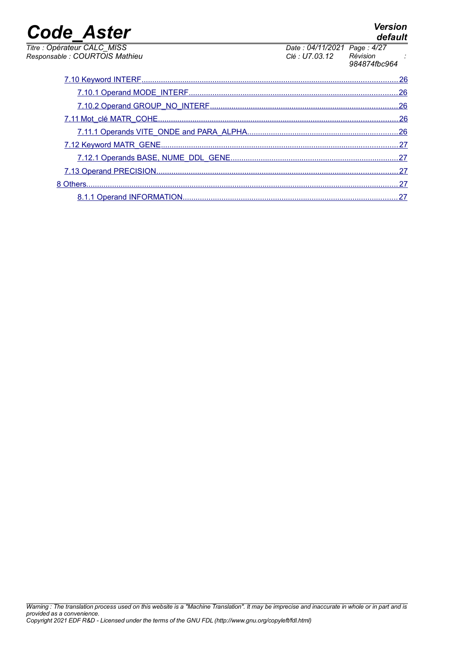| <b>Code Aster</b>                                             |                                               | <b>Version</b><br>default |
|---------------------------------------------------------------|-----------------------------------------------|---------------------------|
| Titre : Opérateur CALC MISS<br>Responsable : COURTOIS Mathieu | Date: 04/11/2021 Page: 4/27<br>Clé : U7.03.12 | Révision<br>984874fbc964  |
|                                                               |                                               | 26                        |
|                                                               |                                               |                           |
|                                                               |                                               | 26                        |
|                                                               |                                               |                           |
|                                                               |                                               |                           |
|                                                               |                                               | 27                        |
|                                                               |                                               |                           |
|                                                               |                                               |                           |
| 8 Others.                                                     |                                               | 27                        |
|                                                               |                                               |                           |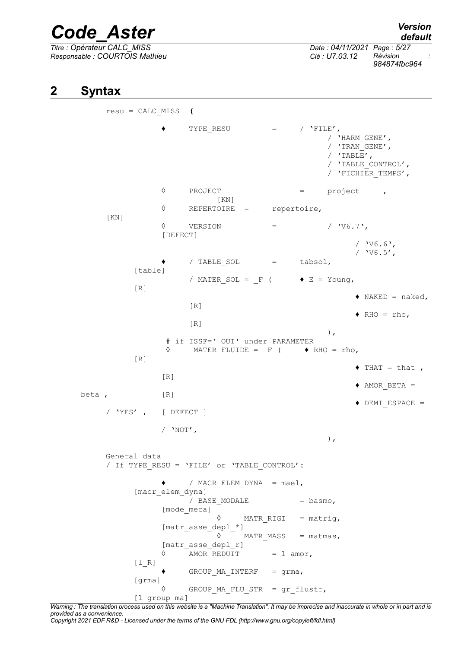*Responsable : COURTOIS Mathieu Clé : U7.03.12 Révision :*

*Titre : Opérateur CALC\_MISS Date : 04/11/2021 Page : 5/27 984874fbc964*

# **2 Syntax**

<span id="page-4-0"></span>resu = CALC\_MISS **(**  $\bullet$  TYPE RESU = / 'FILE', / 'HARM\_GENE',  $/$  'TRAN GENE',  $/$  'TABLE', / 'TABLE\_CONTROL', / 'FICHIER\_TEMPS', ◊ PROJECT = project , [KN] ◊ REPERTOIRE = repertoire, [KN]  $\Diamond$  VERSION = / 'V6.7', [DEFECT] / 'V6.6',  $/$   $'V6.5'$ ,  $\bullet$  / TABLE SOL = tabsol, [table] / MATER SOL =  $F$  (  $\blacklozenge$  E = Young,  $[R]$  $\triangleleft$  NAKED = naked, [R]  $\triangleleft$  RHO = rho, [R] ), # if ISSF=' OUI' under PARAMETER  $\Diamond$  MATER FLUIDE = F (  $\blacklozenge$  RHO = rho,  $[R]$  $\triangleleft$  THAT = that,  $[R]$  $\triangle$  AMOR BETA = beta, [R] ♦ DEMI\_ESPACE = / 'YES' , [ DEFECT ]  $/$  'NOT', ), General data / If TYPE\_RESU = 'FILE' or 'TABLE\_CONTROL': ♦ / MACR\_ELEM\_DYNA = mael, [macr elem dyna] / BASE MODALE = basmo, [mode\_meca]  $\Diamond$  MATR RIGI = matrig, [matr\_asse\_depl\_\*]  $\Diamond$  MATR MASS = matmas, [matr asse depl r]  $\Diamond$  AMORREDUIT = lamor,  $[1 R]$  $\bullet$  GROUP MA INTERF = grma, [grma] GROUP MA FLU STR = gr flustr, [1 group ma]

*Warning : The translation process used on this website is a "Machine Translation". It may be imprecise and inaccurate in whole or in part and is provided as a convenience.*

*Copyright 2021 EDF R&D - Licensed under the terms of the GNU FDL (http://www.gnu.org/copyleft/fdl.html)*

*default*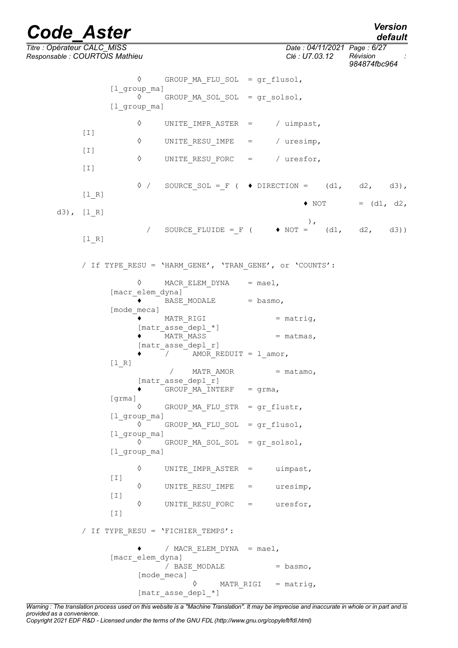*default*

*Titre : Opérateur CALC\_MISS Date : 04/11/2021 Page : 6/27 Responsable : COURTOIS Mathieu Clé : U7.03.12 Révision : 984874fbc964* ◊ GROUP\_MA\_FLU\_SOL = gr\_flusol, [l\_group\_ma] ◊ GROUP\_MA\_SOL\_SOL = gr\_solsol, [l group ma] ◊ UNITE\_IMPR\_ASTER = / uimpast,  $[I]$ ◊ UNITE\_RESU\_IMPE = / uresimp,  $[I]$ ◊ UNITE\_RESU\_FORC = / uresfor,  $[I]$  $\Diamond$  / SOURCE SOL = F (  $\blacklozenge$  DIRECTION = (d1, d2, d3), [l\_R]  $\bullet$  NOT = (d1, d2, d3), [l\_R] ), / SOURCE FLUIDE = F (  $\rightarrow$  NOT = (d1, d2, d3)) [l\_R] / If TYPE\_RESU = 'HARM\_GENE', 'TRAN\_GENE', or 'COUNTS':  $\Diamond$  MACR ELEM DYNA = mael, [macr\_elem\_dyna]  $\rightarrow$   $\overline{\phantom{a}}$  BASE MODALE  $\phantom{a}$  = basmo, [mode\_meca]  $\bullet$  MATR RIGI = matrig, [matr asse<sup>depl \*]</sup>  $\bullet$   $\overline{\text{MATR}}$   $\text{MASS}$   $\overline{\text{MATR}}$   $\overline{\text{MASS}}$   $\overline{\text{MASS}}$   $\overline{\text{MASS}}$   $\overline{\text{MASS}}$   $\overline{\text{MASS}}$   $\overline{\text{MASS}}$   $\overline{\text{MASS}}$   $\overline{\text{MASS}}$   $\overline{\text{MASS}}$   $\overline{\text{MASS}}$   $\overline{\text{MASS}}$   $\overline{\text{MASS}}$   $\overline{\text{MASS}}$   $\overline{\text{MASS}}$  [matr asse depl r]  $\bullet$  / AMOR REDUIT = l amor, [l\_R]  $/$  MATR AMOR = matamo, [matr asse depl r]  $\bullet$  GROUP MA INTERF = grma, [grma] ◊ GROUP\_MA\_FLU\_STR = gr\_flustr, [l\_group\_ma] ◊ GROUP\_MA\_FLU\_SOL = gr\_flusol, [l\_group\_ma] ◊ GROUP\_MA\_SOL\_SOL = gr\_solsol, [1 group ma] ◊ UNITE\_IMPR\_ASTER = uimpast,  $[I]$ ◊ UNITE\_RESU\_IMPE = uresimp,  $[I]$ ◊ UNITE\_RESU\_FORC = uresfor, [I] / If TYPE\_RESU = 'FICHIER\_TEMPS': / MACR ELEM DYNA =  $mael$ , [macr\_elem\_dyna]  $/$  BASE MODALE  $=$  basmo, [mode\_meca] MATR RIGI = matrig, [matr\_asse\_depl\_\*]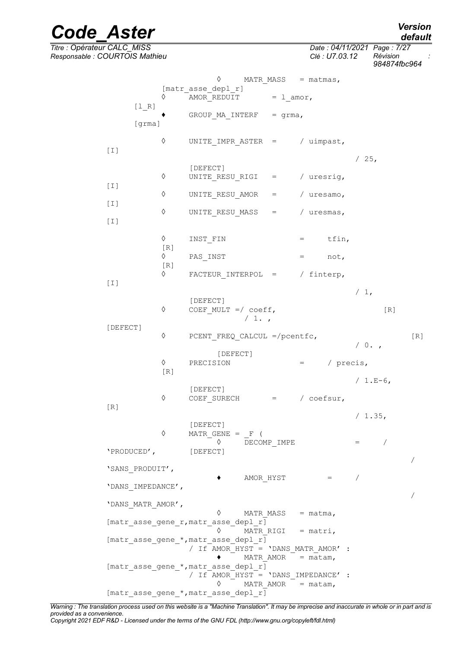*default*

/

/

# *Code\_Aster Version*

*Titre : Opérateur CALC\_MISS Date : 04/11/2021 Page : 7/27 Responsable : COURTOIS Mathieu Clé : U7.03.12 Révision :*

[I]

 $[I]$ 

[I]

 $[I]$ 

 $[I]$ 

[DEFECT]

*984874fbc964*

|                   |                                        | ♦<br>MATR MASS $=$ matmas,                     |           |               |                 |     |     |
|-------------------|----------------------------------------|------------------------------------------------|-----------|---------------|-----------------|-----|-----|
|                   | ♦                                      | [matr asse depl r]<br>AMOR_REDUIT $= 1$ _amor, |           |               |                 |     |     |
| $[1 R]$<br>[grma] |                                        | GROUP MA INTERF $=$ grma,                      |           |               |                 |     |     |
|                   | ♦                                      | UNITE IMPR ASTER = $/$ uimpast,                |           |               |                 |     |     |
|                   | ♦                                      | [DEFECT]<br>UNITE RESU RIGI = $/$ uresrig,     |           |               | /25,            |     |     |
|                   | ♦                                      | UNITE RESU AMOR = $/$ uresamo,                 |           |               |                 |     |     |
|                   | ♦                                      | UNITE_RESU_MASS = $/$ uresmas,                 |           |               |                 |     |     |
|                   | ♦                                      | INST FIN                                       | $=$ tfin, |               |                 |     |     |
|                   | [R]<br>$\Diamond$<br>$\lceil R \rceil$ | PAS INST                                       | $=$ not,  |               |                 |     |     |
|                   | ♦                                      | FACTEUR INTERPOL = $/$ finterp,                |           |               |                 |     |     |
|                   | ♦                                      | [DEFECT]<br>COEF MULT $=$ coeff,<br>/1.        |           |               | $/1$ ,          | [R] |     |
| Τl                | ♦                                      | PCENT FREQ CALCUL =/pcentfc,                   |           |               | $/ 0.$ ,        |     | [R] |
|                   | $\Diamond$<br>[R]                      | [DEFECT]<br>PRECISION                          |           | $=$ / precis, |                 |     |     |
|                   | ♦                                      | [DEFECT]<br>COEF SURECH $=$ / coefsur,         |           |               | / $1.E-6$ ,     |     |     |
|                   |                                        |                                                |           |               | $\sqrt{1}$ $25$ |     |     |

 $[R]$ 

/ 1.35, [DEFECT]  $\Diamond$  MATR GENE = F (  $\Diamond$  DECOMP IMPE = / 'PRODUCED', [DEFECT]

 $\bullet$  AMOR HYST  $=$ 

'SANS\_PRODUIT',

'DANS\_IMPEDANCE',

'DANS\_MATR\_AMOR',

◊ MATR\_MASS = matma, [matr\_asse\_gene\_r,matr\_asse\_depl\_r] ◊ MATR\_RIGI = matri, [matr asse gene \*, matr asse depl  $r$ ] / If AMOR\_HYST = 'DANS\_MATR\_AMOR' :  $\bullet$   $-MATR$  AMOR = matam, [matr asse gene \*, matr asse depl r] / If AMOR HYST = 'DANS IMPEDANCE' :  $\Diamond$  MATR AMOR = matam, [matr\_asse\_gene\_\*,matr\_asse\_depl\_r]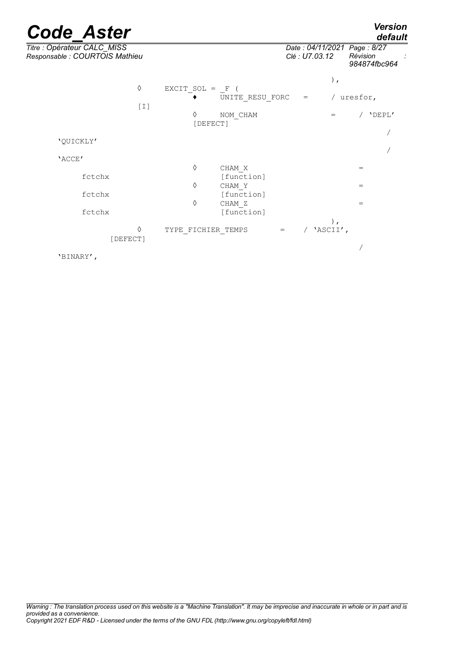*default*

| Titre : Opérateur CALC_MISS<br>Responsable : COURTOIS Mathieu |                    |                      | Date: 04/11/2021 Page: 8/27<br>Clé : U7.03.12 |                   | Révision<br>984874fbc964 |  |
|---------------------------------------------------------------|--------------------|----------------------|-----------------------------------------------|-------------------|--------------------------|--|
| ♦<br>$[1]$                                                    | EXCIT SOL = $F($   | UNITE RESU FORC      | $=$ $-$                                       | $)$ ,             | / uresfor,               |  |
|                                                               | ♦<br>[DEFECT]      | NOM CHAM             |                                               | $=$               | / 'DEPL'                 |  |
| 'QUICKLY'                                                     |                    |                      |                                               |                   |                          |  |
| 'ACCE'                                                        |                    |                      |                                               |                   |                          |  |
| fctchx                                                        | ♦                  | CHAM X<br>[function] |                                               |                   | $=$                      |  |
| fctchx                                                        | ♦                  | CHAM Y<br>[function] |                                               |                   | $=$                      |  |
| fctchx                                                        | ♦                  | CHAM Z<br>[function] |                                               |                   | $=$                      |  |
| ♦<br>[DEFECT]                                                 | TYPE FICHIER TEMPS | $=$                  | $\sqrt{2}$                                    | $)$ ,<br>'ASCII', |                          |  |
| 'BINARY',                                                     |                    |                      |                                               |                   |                          |  |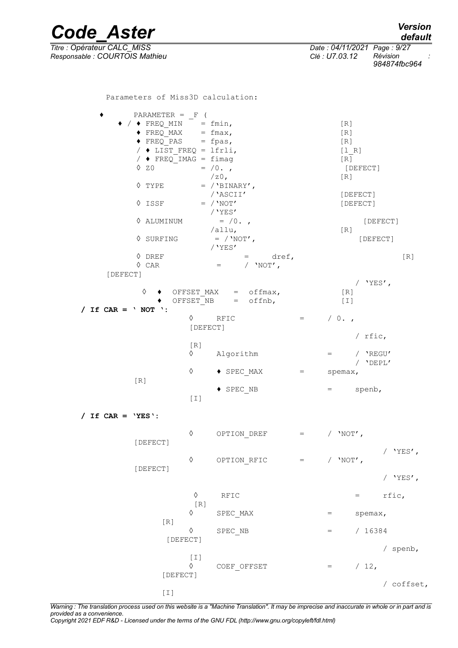*Code\_Aster Version default Titre : Opérateur CALC\_MISS Date : 04/11/2021 Page : 9/27 Responsable : COURTOIS Mathieu Clé : U7.03.12 Révision : 984874fbc964* Parameters of Miss3D calculation:  $\bullet$  PARAMETER = F (  $\begin{array}{c} \bullet \end{array}$  /  $\begin{array}{c} \bullet \text{ FREQ} \text{ MIN} \end{array} = \text{fmin}$ , [R]<br>  $\begin{array}{c} \bullet \text{ FREO} \text{ MAX} \end{array} = \text{fmax}$ , [R]  $\begin{array}{rcl}\n\bullet \text{ FREQ} \text{MAX} & = \text{fmax,} \\
\bullet \text{ FREQ} \text{ PAS} & = \text{fpas,} \\
\end{array}$  [R]  $\overline{\phantom{a}}$  FREQ PAS  $/ \triangleleft$  LIST FREQ = lfrli, [l R]

 $\angle$ z0, [R]  $\sqrt{YPE}$  =  $/YBINARY'$ ,<br> $YASCII'$  /'ASCII' [DEFECT]  $\Diamond$  ISSF = / 'NOT' [DEFECT] / 'YES'<br>= /0.,  $\Diamond$  ALUMINUM =  $/0$ ., /allu, [R]  $\Diamond$  SURFING  $=$  / 'NOT', /'YES'  $\Diamond$  DREF  $=$  dref,  $[R]$  $\Diamond \text{ CAR}$  = /  $'\text{NOT}$ , [DEFECT]  $/$  'YES', ◊ ♦ OFFSET\_MAX = offmax, [R]  $\triangleleft$  OFFSET NB = offnb,  $[1]$ **/ If CAR = ' NOT ':**  $\Diamond$  RFIC = / 0., [DEFECT] / rfic,

 $\begin{array}{rcl} \sqrt{4} & FREG\_IMAG = fimag \\ \sqrt{20} & = & /0. \end{array}$  [R]

 $= /0.$ , [DEFECT]

|     | [R]<br>♦ | Algorithm                | $=$     | / 'REGU' |
|-----|----------|--------------------------|---------|----------|
| [R] | ♦        | $\blacklozenge$ SPEC MAX | spemax, | 'DEPL'   |
|     | [I]      | $\blacklozenge$ SPEC NB  |         | spenb,   |

**/ If CAR = 'YES':**

| [DEFECT] | OPTION DREF |     | $'$ NOT $'$ , |          |
|----------|-------------|-----|---------------|----------|
|          | OPTION RFIC | $=$ | 'NOT',        | / 'YES', |
| [DEFECT] |             |     |               | 'YES'    |

 $\Diamond$  RFIC = rfic,  $[R]$  $SPEC$  MAX  $=$  spemax, [R] ◊ SPEC\_NB = / 16384 [DEFECT] / spenb,  $[I]$  $\Diamond$  COEF OFFSET = / 12, [DEFECT] / coffset, [I]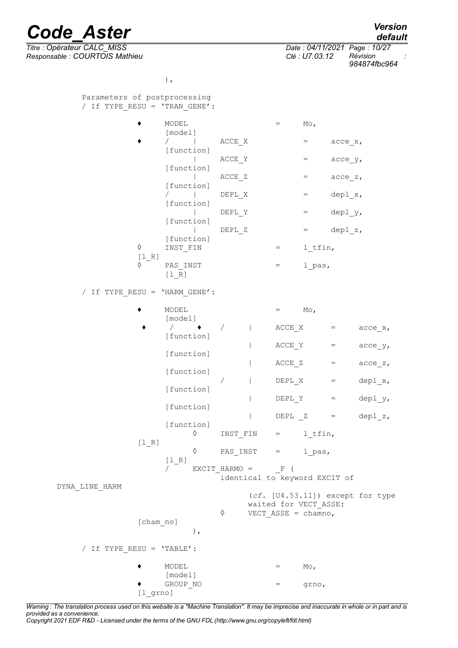*Responsable : COURTOIS Mathieu Clé : U7.03.12 Révision :*

| Version |  |
|---------|--|
| default |  |

*Titre : Opérateur CALC\_MISS Date : 04/11/2021 Page : 10/27 984874fbc964*

),

Parameters of postprocessing / If TYPE\_RESU = 'TRAN\_GENE':  $\bullet$  MODEL = Mo, [model]  $\bullet$  / | ACCE X = acce x, [function] |  $\angle$  ACCE Y =  $\angle$  acce\_y, [function]  $|$   $ACCE_Z$  =  $acce_Z$ , [function]  $/$  | DEPL X = depl x, [function] | DEPLY = deply, [function]  $|\hspace{.6cm}$  DEPL Z  $\hspace{.6cm}$  = depl z, [function] ◊ INST\_FIN = l\_tfin, [l\_R] ◊ PAS\_INST = l\_pas,  $[1 \overline{R}]$ / If TYPE\_RESU = 'HARM\_GENE':  $\blacklozenge$  MODEL  $=$  Mo, [model]  $\sqrt{ }$   $\rightarrow$   $\sqrt{ }$  | ACCE X = acce x, [function] |  $\angle$  ACCE Y = acce  $y$ , [function]  $|$  ACCE Z = acce z, [function]  $|$  DEPL X = depl x, [function] | DEPL Y = depl  $y$ , [function]  $|$  DEPL  $Z =$  depl  $z$ , [function] ◊ INST\_FIN = l\_tfin,  $[1 R]$  $\Diamond$  PAS INST = lpas,  $[1R]$  $\gamma$  EXCIT HARMO = F ( .<br>identical to keyword EXCIT of DYNA\_LINE\_HARM (*cf.* [U4.53.11]) except for type waited for VECT ASSE:  $\sqrt[6]{}$  VECT ASSE = chamno, [cham\_no] ), / If TYPE\_RESU = 'TABLE':  $\bullet$  MODEL  $=$  Mo, [model] ♦ GROUP\_NO = grno,

*Warning : The translation process used on this website is a "Machine Translation". It may be imprecise and inaccurate in whole or in part and is provided as a convenience. Copyright 2021 EDF R&D - Licensed under the terms of the GNU FDL (http://www.gnu.org/copyleft/fdl.html)*

[l\_grno]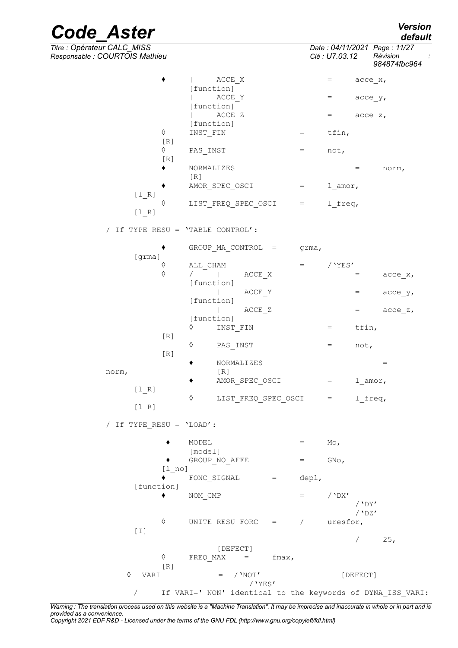*Code\_Aster Version Titre : Opérateur CALC\_MISS Date : 04/11/2021 Page : 11/27 Responsable : COURTOIS Mathieu Clé : U7.03.12 Révision : 984874fbc964*  $\bullet$  | ACCE X = acce x, [function] |  $\angle$  ACCE Y =  $\angle$  acce\_y, [function]  $\vert$  ACCE Z  $\vert$  = acce z, [function]  $\Diamond$  INST FIN = tfin,  $[R]$ ◊ PAS\_INST = not, [R] ♦ NORMALIZES = norm, [R] AMOR SPEC OSCI = l amor,  $[1 R]$ ◊ LIST\_FREQ\_SPEC\_OSCI = l\_freq, [l\_R] / If TYPE\_RESU = 'TABLE\_CONTROL': ♦ GROUP\_MA\_CONTROL = grma, [grma]  $\begin{array}{ccc} \Diamond & \text{ALL\_CHAM} \\ \Diamond & / & \bot \end{array} \qquad \begin{array}{ccc} \text{ACCF} & \text{X} & = & / \text{YES'} \end{array}$  $\sqrt{ }$  | ACCE X = acce x, [function] |  $\angle$  ACCE Y = acce y, [function]  $|\text{ACCEZ}|\text{=}$  acce\_z, [function]  $\Diamond$  INST FIN = tfin, [R] ◊ PAS\_INST = not,  $[R]$  $\bullet$  NORMALIZES  $=$ norm, [R] ♦ AMOR\_SPEC\_OSCI = l\_amor, [l\_R] ◊ LIST\_FREQ\_SPEC\_OSCI = l\_freq,  $[1 R]$ / If TYPE\_RESU = 'LOAD':  $\bullet$  MODEL  $=$  Mo, [model]  $\blacklozenge$  GROUP NO AFFE  $=$  GNo, [l\_no]  $\bullet$  FONC SIGNAL = depl, [function]  $\bullet$  NOM CMP = /'DX' /'DY' /'DZ' ◊ UNITE\_RESU\_FORC = / uresfor, [I]  $/ 25$ , [DEFECT]  $\Diamond$  FREQ MAX = fmax,  $[R]$  $\Diamond$  VARI = /'NOT' [DEFECT] /'YES'

/ If VARI=' NON' identical to the keywords of DYNA\_ISS\_VARI:

*Warning : The translation process used on this website is a "Machine Translation". It may be imprecise and inaccurate in whole or in part and is provided as a convenience.*

*Copyright 2021 EDF R&D - Licensed under the terms of the GNU FDL (http://www.gnu.org/copyleft/fdl.html)*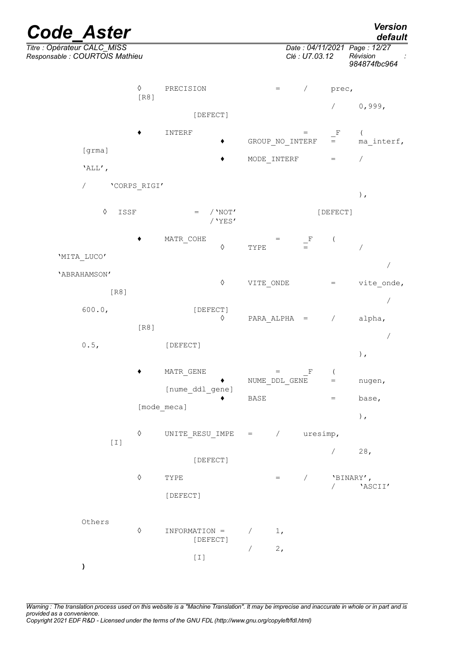| <b>Code Aster</b>                                             |                    |                                                                                                                                                                                                                                                                                                                                       |                                    |                 |             | <b>Version</b><br>default                                |
|---------------------------------------------------------------|--------------------|---------------------------------------------------------------------------------------------------------------------------------------------------------------------------------------------------------------------------------------------------------------------------------------------------------------------------------------|------------------------------------|-----------------|-------------|----------------------------------------------------------|
| Titre : Opérateur CALC_MISS<br>Responsable : COURTOIS Mathieu |                    |                                                                                                                                                                                                                                                                                                                                       |                                    | Clé : U7.03.12  |             | Date: 04/11/2021 Page: 12/27<br>Révision<br>984874fbc964 |
|                                                               | $\Diamond$<br>[R8] | PRECISION                                                                                                                                                                                                                                                                                                                             | $=$                                | $\sqrt{2}$      | prec,       |                                                          |
|                                                               |                    | [DEFECT]                                                                                                                                                                                                                                                                                                                              |                                    |                 | $\sqrt{2}$  | 0,999,                                                   |
|                                                               |                    | INTERF                                                                                                                                                                                                                                                                                                                                |                                    | $=$             | $\mathbf F$ |                                                          |
| [grma]                                                        |                    |                                                                                                                                                                                                                                                                                                                                       |                                    | GROUP NO INTERF | $=$         | ma interf,                                               |
| 'ALL',                                                        |                    |                                                                                                                                                                                                                                                                                                                                       | MODE INTERF                        |                 | $=$         | $\overline{\phantom{a}}$                                 |
| $\sqrt{2}$                                                    | 'CORPS RIGI'       |                                                                                                                                                                                                                                                                                                                                       |                                    |                 |             |                                                          |
| ♦                                                             | ISSF               | / $'$ NOT'<br>$=$<br>$/$ 'YES'                                                                                                                                                                                                                                                                                                        |                                    |                 | [DEFECT]    | $)$ ,                                                    |
|                                                               |                    | MATR COHE<br>$\Diamond$                                                                                                                                                                                                                                                                                                               | $=$<br>TYPE                        | $\frac{F}{m}$   |             | $\sqrt{2}$                                               |
| 'MITA LUCO'                                                   |                    |                                                                                                                                                                                                                                                                                                                                       |                                    |                 |             |                                                          |
| 'ABRAHAMSON'                                                  |                    | $\Diamond$                                                                                                                                                                                                                                                                                                                            | VITE ONDE                          |                 | $=$         | vite onde,                                               |
| [R8]                                                          |                    |                                                                                                                                                                                                                                                                                                                                       |                                    |                 |             |                                                          |
| 600.0,                                                        | [R8]               | [DEFECT]<br>$\Diamond$                                                                                                                                                                                                                                                                                                                |                                    | $PARA ALPHA =$  | $\sqrt{2}$  | alpha,                                                   |
|                                                               |                    |                                                                                                                                                                                                                                                                                                                                       |                                    |                 |             |                                                          |
| 0.5,                                                          |                    | [DEFECT]                                                                                                                                                                                                                                                                                                                              |                                    |                 |             | $\,$ ,                                                   |
|                                                               |                    | MATR GENE                                                                                                                                                                                                                                                                                                                             | $\qquad \qquad =$<br>NUME DDL GENE | F               | $=$         | nugen,                                                   |
|                                                               |                    | [nume ddl gene]                                                                                                                                                                                                                                                                                                                       | BASE                               |                 | $=$         | base,                                                    |
|                                                               |                    | [mode_meca]                                                                                                                                                                                                                                                                                                                           |                                    |                 |             | $\,$ ,                                                   |
|                                                               | $\Diamond$         | UNITE RESU IMPE                                                                                                                                                                                                                                                                                                                       | $=$ / $u$ resimp,                  |                 |             |                                                          |
| $[1]$                                                         |                    | [DEFECT]                                                                                                                                                                                                                                                                                                                              |                                    |                 | $\sqrt{2}$  | 28,                                                      |
|                                                               | $\Diamond$         |                                                                                                                                                                                                                                                                                                                                       |                                    |                 |             |                                                          |
|                                                               |                    | TYPE                                                                                                                                                                                                                                                                                                                                  |                                    | $=$ /           | $\sqrt{2}$  | 'BINARY',<br>'ASCII'                                     |
|                                                               |                    | [DEFECT]                                                                                                                                                                                                                                                                                                                              |                                    |                 |             |                                                          |
| Others                                                        | $\Diamond$         |                                                                                                                                                                                                                                                                                                                                       |                                    |                 |             |                                                          |
|                                                               |                    | INFORMATION =<br>[DEFECT]                                                                                                                                                                                                                                                                                                             | 1,                                 |                 |             |                                                          |
|                                                               |                    | $[1] % \centering \includegraphics[width=0.9\columnwidth]{figures/fig_10.pdf} \caption{The average of the number of times, and the average of the number of times, and the average of the number of times, respectively. The average of the number of times, and the average of the number of times, respectively.} \label{fig:time}$ | 2,<br>$\sqrt{2}$                   |                 |             |                                                          |
| ١.                                                            |                    |                                                                                                                                                                                                                                                                                                                                       |                                    |                 |             |                                                          |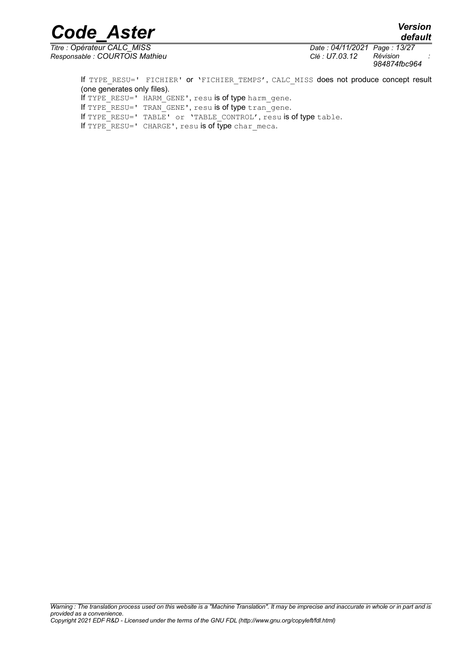*default*

*Code\_Aster Version*

*Titre : Opérateur CALC\_MISS Date : 04/11/2021 Page : 13/27 Responsable : COURTOIS Mathieu Clé : U7.03.12 Révision :*

*984874fbc964*

If TYPE RESU=' FICHIER' or 'FICHIER TEMPS', CALC MISS does not produce concept result (one generates only files). If TYPE RESU=' HARM GENE', resu is of type harm\_gene. If TYPE RESU=' TRAN GENE', resu is of type tran gene. If TYPE RESU=' TABLE' or 'TABLE CONTROL', resu is of type table. If TYPE RESU=' CHARGE', resu is of type char meca.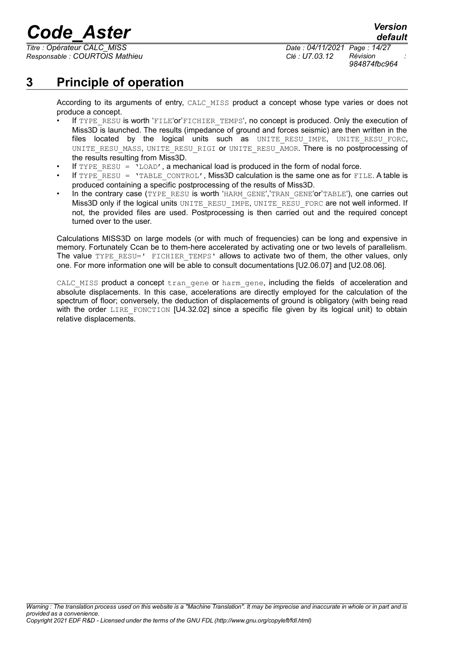*Responsable : COURTOIS Mathieu Clé : U7.03.12 Révision :*

*default*

# **3 Principle of operation**

<span id="page-13-0"></span>According to its arguments of entry, CALC\_MISS product a concept whose type varies or does not produce a concept.

- If TYPE RESU is worth 'FILE' or'FICHIER TEMPS', no concept is produced. Only the execution of Miss3D is launched. The results (impedance of ground and forces seismic) are then written in the files located by the logical units such as UNITE\_RESU\_IMPE, UNITE\_RESU\_FORC, UNITE\_RESU\_MASS, UNITE\_RESU\_RIGI or UNITE\_RESU\_AMOR. There is no postprocessing of the results resulting from Miss3D.
- If  $TYPE$  RESU =  $\iota$ LOAD', a mechanical load is produced in the form of nodal force.
- If  $TYPE$ RESU = 'TABLE CONTROL', Miss3D calculation is the same one as for FILE. A table is produced containing a specific postprocessing of the results of Miss3D.
- In the contrary case (TYPE\_RESU is worth 'HARM\_GENE','TRAN\_GENE'or'TABLE'), one carries out Miss3D only if the logical units UNITE\_RESU\_IMPE, UNITE\_RESU\_FORC are not well informed. If not, the provided files are used. Postprocessing is then carried out and the required concept turned over to the user.

Calculations MISS3D on large models (or with much of frequencies) can be long and expensive in memory. Fortunately Ccan be to them-here accelerated by activating one or two levels of parallelism. The value TYPE RESU=' FICHIER TEMPS' allows to activate two of them, the other values, only one. For more information one will be able to consult documentations [U2.06.07] and [U2.08.06].

CALC MISS product a concept tran gene or harm gene, including the fields of acceleration and absolute displacements. In this case, accelerations are directly employed for the calculation of the spectrum of floor; conversely, the deduction of displacements of ground is obligatory (with being read with the order LIRE FONCTION [U4.32.02] since a specific file given by its logical unit) to obtain relative displacements.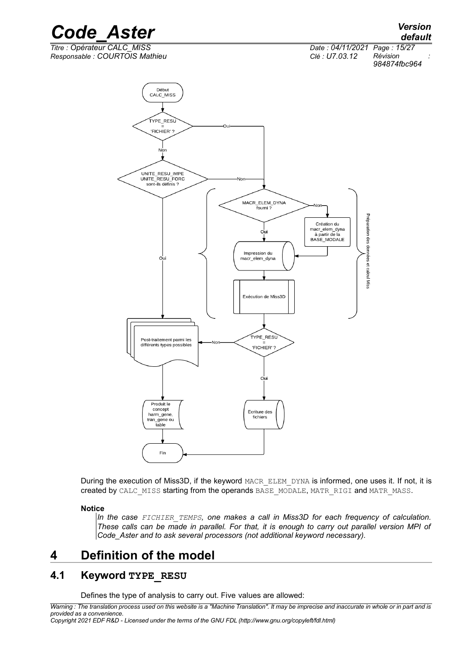

Préparation des données et calcul Miss Impression du Ou macr\_elem\_dyna Exécution de Miss3D TYPE\_RESU Post-traitement parmi les différents types possibles 'FICHIER'? Oui Produit le concept Ecriture des harm\_gene, fichiers tran\_gene ou  $\frac{1}{\text{table}}$ Fin

During the execution of Miss3D, if the keyword MACR\_ELEM\_DYNA is informed, one uses it. If not, it is created by CALC\_MISS starting from the operands BASE\_MODALE, MATR\_RIGI and MATR\_MASS.

#### **Notice**

*In the case FICHIER\_TEMPS, one makes a call in Miss3D for each frequency of calculation. These calls can be made in parallel. For that, it is enough to carry out parallel version MPI of Code\_Aster and to ask several processors (not additional keyword necessary).*

# <span id="page-14-1"></span>**4 Definition of the model**

# **4.1 Keyword TYPE\_RESU**

<span id="page-14-0"></span>Defines the type of analysis to carry out. Five values are allowed:

*Warning : The translation process used on this website is a "Machine Translation". It may be imprecise and inaccurate in whole or in part and is provided as a convenience.*

*Copyright 2021 EDF R&D - Licensed under the terms of the GNU FDL (http://www.gnu.org/copyleft/fdl.html)*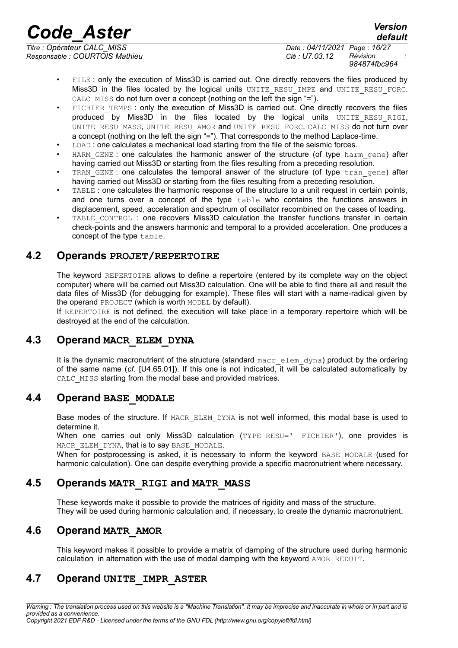*Responsable : COURTOIS Mathieu Clé : U7.03.12 Révision :*

*Titre : Opérateur CALC\_MISS Date : 04/11/2021 Page : 16/27 984874fbc964*

*default*

- FILE : only the execution of Miss3D is carried out. One directly recovers the files produced by Miss3D in the files located by the logical units UNITE\_RESU\_IMPE and UNITE\_RESU\_FORC. CALC MISS do not turn over a concept (nothing on the left the sign "=").
- FICHIER TEMPS : only the execution of Miss3D is carried out. One directly recovers the files produced by Miss3D in the files located by the logical units UNITE RESU RIGI, UNITE\_RESU\_MASS, UNITE\_RESU\_AMOR and UNITE\_RESU\_FORC. CALC\_MISS do not turn over a concept (nothing on the left the sign "="). That corresponds to the method Laplace-time.
- LOAD : one calculates a mechanical load starting from the file of the seismic forces.
- HARM GENE : one calculates the harmonic answer of the structure (of type harm gene) after having carried out Miss3D or starting from the files resulting from a preceding resolution.
- TRAN\_GENE : one calculates the temporal answer of the structure (of type tran gene) after having carried out Miss3D or starting from the files resulting from a preceding resolution.
- TABLE : one calculates the harmonic response of the structure to a unit request in certain points, and one turns over a concept of the type table who contains the functions answers in displacement, speed, acceleration and spectrum of oscillator recombined on the cases of loading.
- TABLE\_CONTROL : one recovers Miss3D calculation the transfer functions transfer in certain check-points and the answers harmonic and temporal to a provided acceleration. One produces a concept of the type table.

# **4.2 Operands PROJET/REPERTOIRE**

<span id="page-15-5"></span>The keyword REPERTOIRE allows to define a repertoire (entered by its complete way on the object computer) where will be carried out Miss3D calculation. One will be able to find there all and result the data files of Miss3D (for debugging for example). These files will start with a name-radical given by the operand PROJECT (which is worth MODEL by default).

If REPERTOIRE is not defined, the execution will take place in a temporary repertoire which will be destroyed at the end of the calculation.

# **4.3 Operand MACR\_ELEM\_DYNA**

<span id="page-15-4"></span>It is the dynamic macronutrient of the structure (standard  $max$  elem dyna) product by the ordering of the same name (*cf.* [U4.65.01]). If this one is not indicated, it will be calculated automatically by CALC MISS starting from the modal base and provided matrices.

# **4.4 Operand BASE\_MODALE**

<span id="page-15-3"></span>Base modes of the structure. If MACR ELEM DYNA is not well informed, this modal base is used to determine it.

When one carries out only Miss3D calculation (TYPE RESU=' FICHIER'), one provides is MACR\_ELEM\_DYNA, that is to say BASE\_MODALE.

When for postprocessing is asked, it is necessary to inform the keyword BASE\_MODALE (used for harmonic calculation). One can despite everything provide a specific macronutrient where necessary.

# **4.5 Operands MATR\_RIGI and MATR\_MASS**

<span id="page-15-2"></span>These keywords make it possible to provide the matrices of rigidity and mass of the structure. They will be used during harmonic calculation and, if necessary, to create the dynamic macronutrient.

# **4.6 Operand MATR\_AMOR**

<span id="page-15-1"></span><span id="page-15-0"></span>This keyword makes it possible to provide a matrix of damping of the structure used during harmonic calculation in alternation with the use of modal damping with the keyword AMOR\_REDUIT.

# **4.7 Operand UNITE\_IMPR\_ASTER**

*Warning : The translation process used on this website is a "Machine Translation". It may be imprecise and inaccurate in whole or in part and is provided as a convenience.*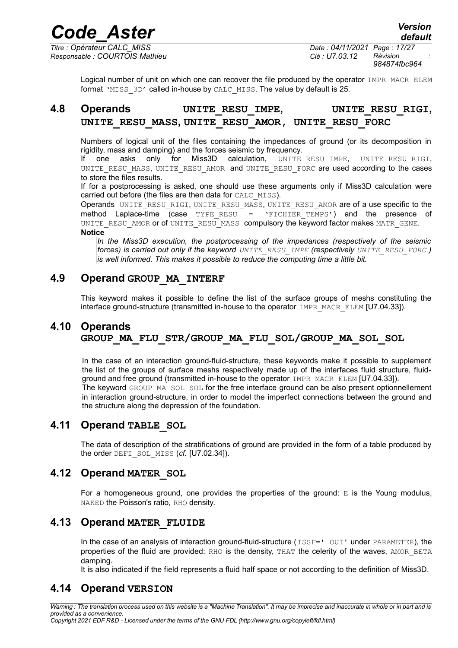*default*

*Titre : Opérateur CALC\_MISS Date : 04/11/2021 Page : 17/27 Responsable : COURTOIS Mathieu Clé : U7.03.12 Révision :*

*984874fbc964*

<span id="page-16-6"></span>Logical number of unit on which one can recover the file produced by the operator IMPR\_MACR\_ELEM format 'MISS 3D' called in-house by CALC\_MISS. The value by default is 25.

# **4.8 Operands UNITE\_RESU\_IMPE, UNITE\_RESU\_RIGI, UNITE\_RESU\_MASS, UNITE\_RESU\_AMOR, UNITE\_RESU\_FORC**

Numbers of logical unit of the files containing the impedances of ground (or its decomposition in rigidity, mass and damping) and the forces seismic by frequency.

If one asks only for Miss3D calculation, UNITE\_RESU\_IMPE, UNITE\_RESU\_RIGI, UNITE\_RESU\_MASS, UNITE\_RESU\_AMOR and UNITE\_RESU\_FORC are used according to the cases to store the files results.

If for a postprocessing is asked, one should use these arguments only if Miss3D calculation were carried out before (the files are then data for CALC\_MISS).

Operands UNITE RESU RIGI, UNITE RESU MASS, UNITE RESU AMOR are of a use specific to the method Laplace-time (case  $TYPE$  RESU =  $'$ FICHIER TEMPS') and the presence of UNITE RESU AMOR or of UNITE RESU MASS compulsory the keyword factor makes MATR GENE. **Notice**

*In the Miss3D execution, the postprocessing of the impedances (respectively of the seismic forces) is carried out only if the keyword UNITE\_RESU\_IMPE (respectively UNITE\_RESU\_FORC ) is well informed. This makes it possible to reduce the computing time a little bit.*

# **4.9 Operand GROUP\_MA\_INTERF**

<span id="page-16-5"></span><span id="page-16-4"></span>This keyword makes it possible to define the list of the surface groups of meshs constituting the interface ground-structure (transmitted in-house to the operator IMPR\_MACR\_ELEM [U7.04.33]).

# **4.10 Operands GROUP\_MA\_FLU\_STR/GROUP\_MA\_FLU\_SOL/GROUP\_MA\_SOL\_SOL**

In the case of an interaction ground-fluid-structure, these keywords make it possible to supplement the list of the groups of surface meshs respectively made up of the interfaces fluid structure, fluidground and free ground (transmitted in-house to the operator IMPR\_MACR\_ELEM [U7.04.33]). The keyword GROUP MA\_SOL\_SOL for the free interface ground can be also present optionnellement in interaction ground-structure, in order to model the imperfect connections between the ground and the structure along the depression of the foundation.

# **4.11 Operand TABLE\_SOL**

<span id="page-16-3"></span>The data of description of the stratifications of ground are provided in the form of a table produced by the order DEFI\_SOL\_MISS (*cf.* [U7.02.34]).

# **4.12 Operand MATER\_SOL**

<span id="page-16-2"></span>For a homogeneous ground, one provides the properties of the ground:  $E$  is the Young modulus, NAKED the Poisson's ratio, RHO density.

# **4.13 Operand MATER\_FLUIDE**

<span id="page-16-1"></span>In the case of an analysis of interaction ground-fluid-structure (ISSF=' OUI' under PARAMETER), the properties of the fluid are provided: RHO is the density, THAT the celerity of the waves, AMOR BETA damping.

<span id="page-16-0"></span>It is also indicated if the field represents a fluid half space or not according to the definition of Miss3D.

# **4.14 Operand VERSION**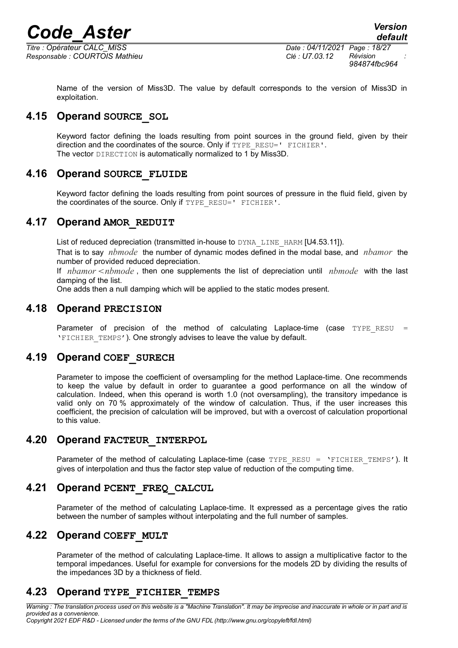

<span id="page-17-8"></span>exploitation.

*Responsable : COURTOIS Mathieu Clé : U7.03.12 Révision :*

*984874fbc964*

Name of the version of Miss3D. The value by default corresponds to the version of Miss3D in

# **4.15 Operand SOURCE\_SOL**

Keyword factor defining the loads resulting from point sources in the ground field, given by their direction and the coordinates of the source. Only if TYPE RESU=' FICHIER'. The vector DIRECTION is automatically normalized to 1 by Miss3D.

# **4.16 Operand SOURCE\_FLUIDE**

<span id="page-17-7"></span>Keyword factor defining the loads resulting from point sources of pressure in the fluid field, given by the coordinates of the source. Only if TYPE\_RESU=' FICHIER'.

### **4.17 Operand AMOR\_REDUIT**

<span id="page-17-6"></span>List of reduced depreciation (transmitted in-house to DYNA\_LINE\_HARM [U4.53.11]).

That is to say *nbmode* the number of dynamic modes defined in the modal base, and *nbamor* the number of provided reduced depreciation.

If *nbamor* <nbmode, then one supplements the list of depreciation until *nbmode* with the last damping of the list.

<span id="page-17-5"></span>One adds then a null damping which will be applied to the static modes present.

### **4.18 Operand PRECISION**

Parameter of precision of the method of calculating Laplace-time (case TYPE RESU 'FICHIER\_TEMPS'). One strongly advises to leave the value by default.

# **4.19 Operand COEF\_SURECH**

<span id="page-17-4"></span>Parameter to impose the coefficient of oversampling for the method Laplace-time. One recommends to keep the value by default in order to guarantee a good performance on all the window of calculation. Indeed, when this operand is worth 1.0 (not oversampling), the transitory impedance is valid only on 70 % approximately of the window of calculation. Thus, if the user increases this coefficient, the precision of calculation will be improved, but with a overcost of calculation proportional to this value.

# **4.20 Operand FACTEUR\_INTERPOL**

<span id="page-17-3"></span>Parameter of the method of calculating Laplace-time (case  $TYPE$  RESU = 'FICHIER TEMPS'). It gives of interpolation and thus the factor step value of reduction of the computing time.

# **4.21 Operand PCENT\_FREQ\_CALCUL**

<span id="page-17-2"></span>Parameter of the method of calculating Laplace-time. It expressed as a percentage gives the ratio between the number of samples without interpolating and the full number of samples.

# **4.22 Operand COEFF\_MULT**

<span id="page-17-1"></span>Parameter of the method of calculating Laplace-time. It allows to assign a multiplicative factor to the temporal impedances. Useful for example for conversions for the models 2D by dividing the results of the impedances 3D by a thickness of field.

# <span id="page-17-0"></span>**4.23 Operand TYPE\_FICHIER\_TEMPS**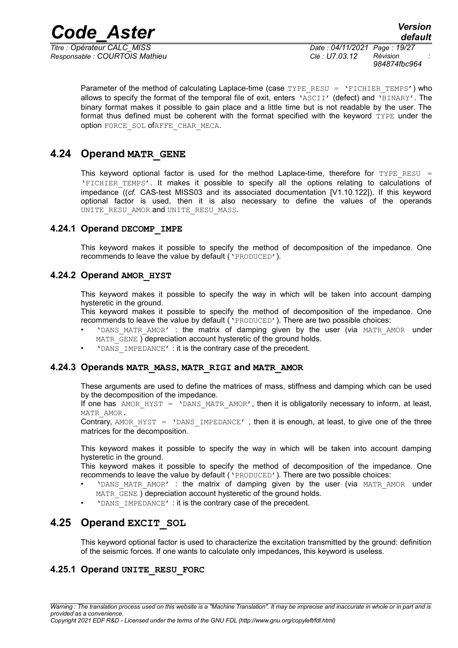*Responsable : COURTOIS Mathieu Clé : U7.03.12 Révision :*

*Titre : Opérateur CALC\_MISS Date : 04/11/2021 Page : 19/27 984874fbc964*

Parameter of the method of calculating Laplace-time (case TYPE\_RESU = 'FICHIER\_TEMPS') who allows to specify the format of the temporal file of exit, enters 'ASCII' (defect) and 'BINARY'. The binary format makes it possible to gain place and a little time but is not readable by the user. The format thus defined must be coherent with the format specified with the keyword TYPE under the option FORCE SOL ofAFFE CHAR MECA.

# **4.24 Operand MATR\_GENE**

<span id="page-18-5"></span>This keyword optional factor is used for the method Laplace-time, therefore for TYPE RESU = 'FICHIER\_TEMPS'. It makes it possible to specify all the options relating to calculations of impedance ((*cf.* CAS-test MISS03 and its associated documentation [V1.10.122]). If this keyword optional factor is used, then it is also necessary to define the values of the operands UNITE RESU AMOR and UNITE RESU MASS.

#### **4.24.1 Operand DECOMP\_IMPE**

<span id="page-18-4"></span>This keyword makes it possible to specify the method of decomposition of the impedance. One recommends to leave the value by default ('PRODUCED').

### **4.24.2 Operand AMOR\_HYST**

<span id="page-18-3"></span>This keyword makes it possible to specify the way in which will be taken into account damping hysteretic in the ground.

This keyword makes it possible to specify the method of decomposition of the impedance. One recommends to leave the value by default ('PRODUCED'). There are two possible choices:

- 'DANS MATR AMOR' : the matrix of damping given by the user (via MATR AMOR under MATR GENE ) depreciation account hysteretic of the ground holds.
	- 'DANS IMPEDANCE' : it is the contrary case of the precedent.

#### **4.24.3 Operands MATR\_MASS, MATR\_RIGI and MATR\_AMOR**

<span id="page-18-2"></span>These arguments are used to define the matrices of mass, stiffness and damping which can be used by the decomposition of the impedance.

If one has  $AMOR$  HYST = 'DANS MATR AMOR', then it is obligatorily necessary to inform, at least, MATR\_AMOR.

Contrary, AMOR HYST = 'DANS IMPEDANCE', then it is enough, at least, to give one of the three matrices for the decomposition.

This keyword makes it possible to specify the way in which will be taken into account damping hysteretic in the ground.

This keyword makes it possible to specify the method of decomposition of the impedance. One recommends to leave the value by default ('PRODUCED'). There are two possible choices:

- 'DANS MATR AMOR' : the matrix of damping given by the user (via MATR AMOR under MATR GENE ) depreciation account hysteretic of the ground holds.
- <span id="page-18-1"></span>• 'DANS\_IMPEDANCE' : it is the contrary case of the precedent.

# **4.25 Operand EXCIT\_SOL**

<span id="page-18-0"></span>This keyword optional factor is used to characterize the excitation transmitted by the ground: definition of the seismic forces. If one wants to calculate only impedances, this keyword is useless.

#### **4.25.1 Operand UNITE\_RESU\_FORC**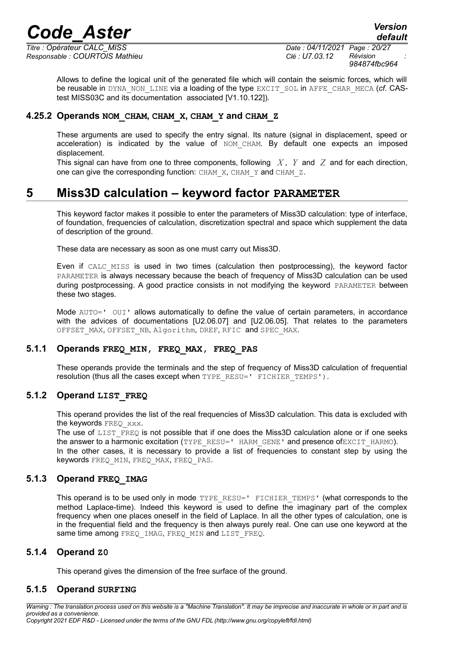*Titre : Opérateur CALC\_MISS Date : 04/11/2021 Page : 20/27 Responsable : COURTOIS Mathieu Clé : U7.03.12 Révision :*

*default*

*984874fbc964*

Allows to define the logical unit of the generated file which will contain the seismic forces, which will be reusable in DYNA\_NON\_LINE via a loading of the type EXCIT\_SOL in AFFE\_CHAR\_MECA (*cf.* CAStest MISS03C and its documentation associated [V1.10.122]).

#### **4.25.2 Operands NOM\_CHAM, CHAM\_X, CHAM\_Y and CHAM\_Z**

<span id="page-19-4"></span>These arguments are used to specify the entry signal. Its nature (signal in displacement, speed or acceleration) is indicated by the value of NOM CHAM. By default one expects an imposed displacement.

This signal can have from one to three components, following *X* , *Y* and *Z* and for each direction, one can give the corresponding function: CHAM X, CHAM Y and CHAM Z.

# **5 Miss3D calculation – keyword factor PARAMETER**

<span id="page-19-3"></span>This keyword factor makes it possible to enter the parameters of Miss3D calculation: type of interface, of foundation, frequencies of calculation, discretization spectral and space which supplement the data of description of the ground.

These data are necessary as soon as one must carry out Miss3D.

Even if CALC\_MISS is used in two times (calculation then postprocessing), the keyword factor PARAMETER is always necessary because the beach of frequency of Miss3D calculation can be used during postprocessing. A good practice consists in not modifying the keyword PARAMETER between these two stages.

Mode AUTO=' OUI' allows automatically to define the value of certain parameters, in accordance with the advices of documentations [U2.06.07] and [U2.06.05]. That relates to the parameters OFFSET MAX, OFFSET NB, Algorithm, DREF, RFIC and SPEC MAX.

#### **5.1.1 Operands FREQ\_MIN, FREQ\_MAX, FREQ\_PAS**

<span id="page-19-2"></span>These operands provide the terminals and the step of frequency of Miss3D calculation of frequential resolution (thus all the cases except when TYPE\_RESU=' FICHIER\_TEMPS').

### **5.1.2 Operand LIST\_FREQ**

<span id="page-19-1"></span>This operand provides the list of the real frequencies of Miss3D calculation. This data is excluded with the keywords FREQ xxx.

The use of LIST FREQ is not possible that if one does the Miss3D calculation alone or if one seeks the answer to a harmonic excitation (TYPE\_RESU=' HARM\_GENE' and presence ofEXCIT\_HARMO). In the other cases, it is necessary to provide a list of frequencies to constant step by using the keywords FREQ MIN, FREQ MAX, FREQ PAS.

### **5.1.3 Operand FREQ\_IMAG**

<span id="page-19-0"></span>This operand is to be used only in mode TYPE\_RESU=' FICHIER\_TEMPS' (what corresponds to the method Laplace-time). Indeed this keyword is used to define the imaginary part of the complex frequency when one places oneself in the field of Laplace. In all the other types of calculation, one is in the frequential field and the frequency is then always purely real. One can use one keyword at the same time among FREQ\_IMAG, FREQ\_MIN and LIST\_FREQ.

### **5.1.4 Operand Z0**

<span id="page-19-6"></span><span id="page-19-5"></span>This operand gives the dimension of the free surface of the ground.

#### **5.1.5 Operand SURFING**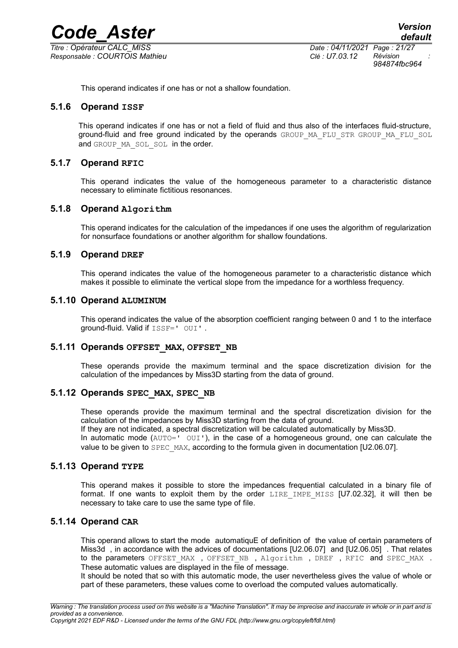*Titre : Opérateur CALC\_MISS Date : 04/11/2021 Page : 21/27 Responsable : COURTOIS Mathieu Clé : U7.03.12 Révision :*

*984874fbc964*

<span id="page-20-8"></span>This operand indicates if one has or not a shallow foundation.

#### **5.1.6 Operand ISSF**

This operand indicates if one has or not a field of fluid and thus also of the interfaces fluid-structure, ground-fluid and free ground indicated by the operands GROUP MA FLU STR GROUP MA FLU SOL and GROUP MA\_SOL\_SOL in the order.

#### **5.1.7 Operand RFIC**

<span id="page-20-7"></span>This operand indicates the value of the homogeneous parameter to a characteristic distance necessary to eliminate fictitious resonances.

#### **5.1.8 Operand Algorithm**

<span id="page-20-6"></span>This operand indicates for the calculation of the impedances if one uses the algorithm of regularization for nonsurface foundations or another algorithm for shallow foundations.

#### **5.1.9 Operand DREF**

<span id="page-20-5"></span>This operand indicates the value of the homogeneous parameter to a characteristic distance which makes it possible to eliminate the vertical slope from the impedance for a worthless frequency.

#### **5.1.10 Operand ALUMINUM**

<span id="page-20-4"></span>This operand indicates the value of the absorption coefficient ranging between 0 and 1 to the interface ground-fluid. Valid if ISSF=' OUI'.

#### **5.1.11 Operands OFFSET\_MAX, OFFSET\_NB**

<span id="page-20-3"></span>These operands provide the maximum terminal and the space discretization division for the calculation of the impedances by Miss3D starting from the data of ground.

#### **5.1.12 Operands SPEC\_MAX, SPEC\_NB**

<span id="page-20-2"></span>These operands provide the maximum terminal and the spectral discretization division for the calculation of the impedances by Miss3D starting from the data of ground. If they are not indicated, a spectral discretization will be calculated automatically by Miss3D. In automatic mode  $(AUTO=1' OUT')$ , in the case of a homogeneous ground, one can calculate the value to be given to SPEC\_MAX, according to the formula given in documentation [U2.06.07].

#### **5.1.13 Operand TYPE**

<span id="page-20-1"></span>This operand makes it possible to store the impedances frequential calculated in a binary file of format. If one wants to exploit them by the order LIRE\_IMPE\_MISS [U7.02.32], it will then be necessary to take care to use the same type of file.

#### **5.1.14 Operand CAR**

<span id="page-20-0"></span>This operand allows to start the mode automatiquE of definition of the value of certain parameters of Miss3d , in accordance with the advices of documentations [U2.06.07] and [U2.06.05] . That relates to the parameters OFFSET\_MAX , OFFSET\_NB , Algorithm , DREF , RFIC and SPEC\_MAX . These automatic values are displayed in the file of message.

It should be noted that so with this automatic mode, the user nevertheless gives the value of whole or part of these parameters, these values come to overload the computed values automatically.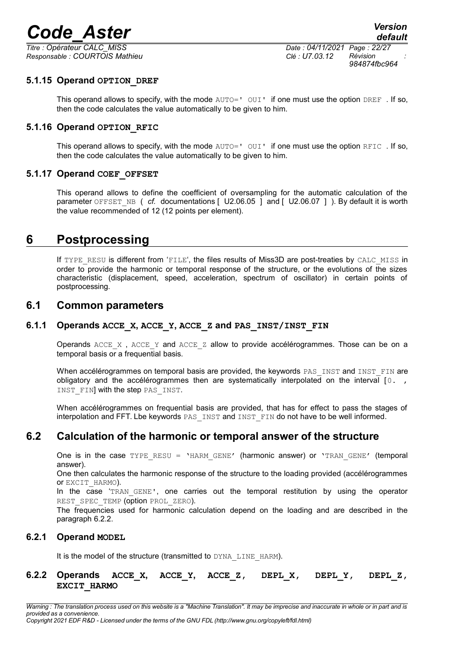*Titre : Opérateur CALC\_MISS Date : 04/11/2021 Page : 22/27 Responsable : COURTOIS Mathieu Clé : U7.03.12 Révision :*

*984874fbc964*

#### **5.1.15 Operand OPTION\_DREF**

<span id="page-21-8"></span>This operand allows to specify, with the mode  $AUTO=$   $UUT$  if one must use the option DREF . If so, then the code calculates the value automatically to be given to him.

#### **5.1.16 Operand OPTION\_RFIC**

<span id="page-21-7"></span>This operand allows to specify, with the mode  $AUTO=$   $UUT$  if one must use the option RFIC. If so, then the code calculates the value automatically to be given to him.

#### **5.1.17 Operand COEF\_OFFSET**

<span id="page-21-6"></span>This operand allows to define the coefficient of oversampling for the automatic calculation of the parameter OFFSET\_NB ( *cf.* documentations [ U2.06.05 ] and [ U2.06.07 ] ). By default it is worth the value recommended of 12 (12 points per element).

# **6 Postprocessing**

<span id="page-21-5"></span>If TYPE RESU is different from 'FILE', the files results of Miss3D are post-treaties by CALC\_MISS in order to provide the harmonic or temporal response of the structure, or the evolutions of the sizes characteristic (displacement, speed, acceleration, spectrum of oscillator) in certain points of postprocessing.

### <span id="page-21-4"></span>**6.1 Common parameters**

#### **6.1.1 Operands ACCE\_X, ACCE\_Y, ACCE\_Z and PAS\_INST/INST\_FIN**

<span id="page-21-3"></span>Operands ACCE X, ACCE Y and ACCE Z allow to provide accélérogrammes. Those can be on a temporal basis or a frequential basis.

When accélérogrammes on temporal basis are provided, the keywords PAS\_INST and INST\_FIN are obligatory and the accélérogrammes then are systematically interpolated on the interval  $\begin{bmatrix} 0 & 1 \\ 0 & 0 \end{bmatrix}$ INST FIN] with the step PAS INST.

When accélérogrammes on frequential basis are provided, that has for effect to pass the stages of interpolation and FFT. Lbe keywords PAS\_INST and INST\_FIN do not have to be well informed.

# **6.2 Calculation of the harmonic or temporal answer of the structure**

<span id="page-21-2"></span>One is in the case  $TYPE$  RESU = 'HARM GENE' (harmonic answer) or 'TRAN GENE' (temporal answer).

One then calculates the harmonic response of the structure to the loading provided (accélérogrammes or EXCIT\_HARMO).

In the case 'TRAN GENE', one carries out the temporal restitution by using the operator REST SPEC TEMP (option PROL ZERO).

The frequencies used for harmonic calculation depend on the loading and are described in the paragraph [6.2.2.](#page-21-0)

#### **6.2.1 Operand MODEL**

<span id="page-21-1"></span><span id="page-21-0"></span>It is the model of the structure (transmitted to DYNA\_LINE\_HARM).

#### **6.2.2 Operands ACCE\_X, ACCE\_Y, ACCE\_Z, DEPL\_X, DEPL\_Y, DEPL\_Z, EXCIT\_HARMO**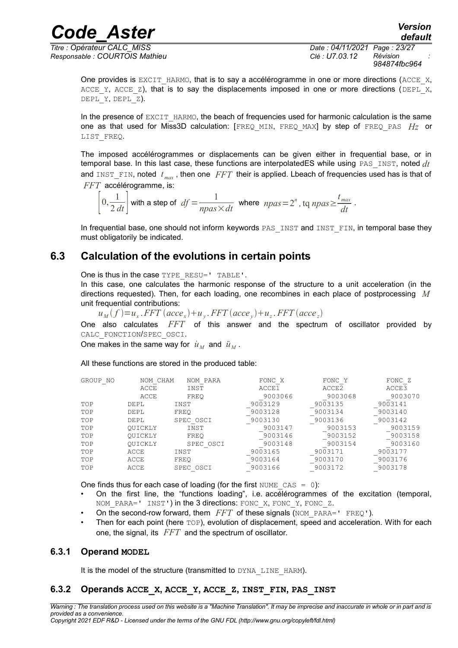*Responsable : COURTOIS Mathieu Clé : U7.03.12 Révision :*

*Titre : Opérateur CALC\_MISS Date : 04/11/2021 Page : 23/27 984874fbc964*

One provides is EXCIT HARMO, that is to say a accélérogramme in one or more directions (ACCE  $X$ , ACCE Y, ACCE Z), that is to say the displacements imposed in one or more directions (DEPL X, DEPL  $Y$ , DEPL  $Z$ ).

In the presence of  $EXCIT$  HARMO, the beach of frequencies used for harmonic calculation is the same one as that used for Miss3D calculation: [FREQ\_MIN, FREQ\_MAX] by step of FREQ\_PAS *Hz* or LIST\_FREQ.

The imposed accélérogrammes or displacements can be given either in frequential base, or in temporal base. In this last case, these functions are interpolatedES while using PAS\_INST, noted *dt* and INST FIN, noted  $t_{max}$ , then one *FFT* their is applied. Lbeach of frequencies used has is that of *FFT* accélérogramme, is:

 $\left|0,\frac{1}{2\ell}\right|$  $\frac{1}{2 dt}$  with a step of  $df = \frac{1}{npas}$  $\frac{1}{npas \times dt}$  where  $npas = 2^n$ , tq  $npas \geq \frac{t_{max}}{dt}$  $\frac{max}{dt}$ .

In frequential base, one should not inform keywords PAS INST and INST FIN, in temporal base they must obligatorily be indicated.

# **6.3 Calculation of the evolutions in certain points**

<span id="page-22-2"></span>One is thus in the case TYPE\_RESU=' TABLE'.

In this case, one calculates the harmonic response of the structure to a unit acceleration (in the directions requested). Then, for each loading, one recombines in each place of postprocessing *M* unit frequential contributions:

 $u_M(f) = u_x$ . *FFT*  $(acee_x) + u_y$ . *FFT*  $(acee_y) + u_z$ . *FFT*  $(ace_e)$ 

One also calculates *FFT* of this answer and the spectrum of oscillator provided by CALC\_FONCTION/SPEC\_OSCI.

One makes in the same way for  $\dot{u}_M$  and  $\ddot{u}_M$ .

All these functions are stored in the produced table:

| GROUP NO | NOM CHAM    | NOM PARA  | FONC X  | FONC Y  | FONC Z  |
|----------|-------------|-----------|---------|---------|---------|
|          | ACCE        | INST      | ACCE1   | ACCE2   | ACCE3   |
|          | ACCE        | FREO      | 9003066 | 9003068 | 9003070 |
| TOP      | <b>DEPL</b> | INST      | 9003129 | 9003135 | 9003141 |
| TOP      | <b>DEPL</b> | FREO      | 9003128 | 9003134 | 9003140 |
| TOP      | <b>DEPL</b> | SPEC OSCI | 9003130 | 9003136 | 9003142 |
| TOP      | OUICKLY     | INST      | 9003147 | 9003153 | 9003159 |
| TOP      | OUICKLY     | FREO      | 9003146 | 9003152 | 9003158 |
| TOP      | OUICKLY     | SPEC OSCI | 9003148 | 9003154 | 9003160 |
| TOP      | ACCE        | INST      | 9003165 | 9003171 | 9003177 |
| TOP      | ACCE        | FREO      | 9003164 | 9003170 | 9003176 |
| TOP      | ACCE        | SPEC OSCI | 9003166 | 9003172 | 9003178 |

One finds thus for each case of loading (for the first NUME  $\text{CAS} = 0$ ):

- On the first line, the "functions loading", i.e. accélérogrammes of the excitation (temporal, NOM PARA=' INST') in the 3 directions: FONC X, FONC Y, FONC Z.
- On the second-row forward, them *FFT* of these signals (NOM PARA=' FREQ').
- Then for each point (here TOP), evolution of displacement, speed and acceleration. With for each one, the signal, its *FFT* and the spectrum of oscillator.

#### **6.3.1 Operand MODEL**

<span id="page-22-1"></span><span id="page-22-0"></span>It is the model of the structure (transmitted to DYNA\_LINE\_HARM).

#### **6.3.2 Operands ACCE\_X, ACCE\_Y, ACCE\_Z, INST\_FIN, PAS\_INST**

*Warning : The translation process used on this website is a "Machine Translation". It may be imprecise and inaccurate in whole or in part and is provided as a convenience. Copyright 2021 EDF R&D - Licensed under the terms of the GNU FDL (http://www.gnu.org/copyleft/fdl.html)*

*default*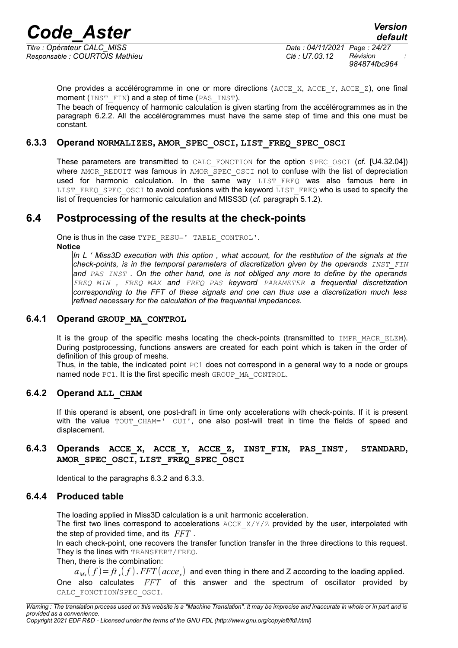*Responsable : COURTOIS Mathieu Clé : U7.03.12 Révision :*

One provides a accélérogramme in one or more directions ( $ACCEX$ ,  $ACCEY$ ,  $ACCEZ$ ), one final moment (INST FIN) and a step of time (PAS INST).

The beach of frequency of harmonic calculation is given starting from the accélérogrammes as in the paragraph [6.2.2.](#page-21-0) All the accélérogrammes must have the same step of time and this one must be constant.

#### **6.3.3 Operand NORMALIZES, AMOR\_SPEC\_OSCI, LIST\_FREQ\_SPEC\_OSCI**

<span id="page-23-5"></span>These parameters are transmitted to CALC\_FONCTION for the option SPEC\_OSCI (*cf.* [U4.32.04]) where AMOR REDUIT was famous in AMOR SPEC OSCI not to confuse with the list of depreciation used for harmonic calculation. In the same way LIST FREQ was also famous here in LIST FREQ SPEC OSCI to avoid confusions with the keyword  $\overline{L}$ IST FREQ who is used to specify the list of frequencies for harmonic calculation and MISS3D (*cf.* paragraph [5.1.2\)](#page-19-1).

# **6.4 Postprocessing of the results at the check-points**

<span id="page-23-4"></span>One is thus in the case TYPE\_RESU=' TABLE\_CONTROL'. **Notice**

*In L ' Miss3D execution with this option , what account, for the restitution of the signals at the check-points, is in the temporal parameters of discretization given by the operands INST\_FIN and PAS\_INST . On the other hand, one is not obliged any more to define by the operands FREQ\_MIN , FREQ\_MAX and FREQ\_PAS keyword PARAMETER a frequential discretization corresponding to the FFT of these signals and one can thus use a discretization much less refined necessary for the calculation of the frequential impedances.* 

#### **6.4.1 Operand GROUP\_MA\_CONTROL**

<span id="page-23-3"></span>It is the group of the specific meshs locating the check-points (transmitted to IMPR MACR ELEM). During postprocessing, functions answers are created for each point which is taken in the order of definition of this group of meshs.

Thus, in the table, the indicated point  $P \subset 1$  does not correspond in a general way to a node or groups named node PC1. It is the first specific mesh GROUP\_MA\_CONTROL.

#### **6.4.2 Operand ALL\_CHAM**

<span id="page-23-2"></span>If this operand is absent, one post-draft in time only accelerations with check-points. If it is present with the value TOUT CHAM=' OUI', one also post-will treat in time the fields of speed and displacement.

#### <span id="page-23-1"></span>**6.4.3 Operands ACCE\_X, ACCE\_Y, ACCE\_Z, INST\_FIN, PAS\_INST, STANDARD, AMOR\_SPEC\_OSCI, LIST\_FREQ\_SPEC\_OSCI**

<span id="page-23-0"></span>Identical to the paragraphs [6.3.2](#page-22-0) and [6.3.3.](#page-23-5)

#### **6.4.4 Produced table**

The loading applied in Miss3D calculation is a unit harmonic acceleration.

The first two lines correspond to accelerations  $ACCE$   $X/Y/Z$  provided by the user, interpolated with the step of provided time, and its *FFT* .

In each check-point, one recovers the transfer function transfer in the three directions to this request. They is the lines with TRANSFERT/FREQ.

Then, there is the combination:

 $a_{_M\!x}(f)\!=\!f\!t_{_X}\!(f)$  .  $FFT(\textit{accept}_x)\;$  and even thing in there and Z according to the loading applied.

One also calculates *FFT* of this answer and the spectrum of oscillator provided by CALC\_FONCTION/SPEC\_OSCI.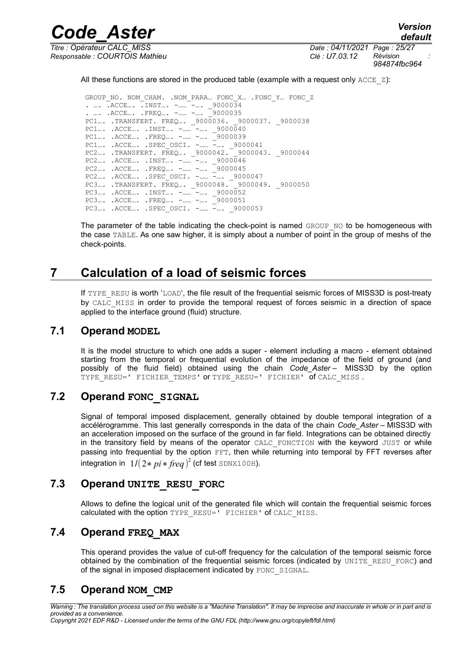*Titre : Opérateur CALC\_MISS Date : 04/11/2021 Page : 25/27 Responsable : COURTOIS Mathieu Clé : U7.03.12 Révision :*

*default 984874fbc964*

All these functions are stored in the produced table (example with a request only  $ACCE$   $Z$ ):

*Code\_Aster Version*

GROUP NO. NOM CHAM. .NOM PARA… FONC X… . FONC Y… FONC Z . …. .ACCE…. .INST…. -……<sup>--</sup>…. \_9000034<br>. …. .ACCE…. .FREO…. -…… -…. \_9000035 . …. . ACCE…. . FREQ…. -…… -…. PC1…. .TRANSFERT. FREQ…. \_9000036. \_9000037. \_9000038 PC1.... . ACCE.... . INST.... - ..... -.... 9000040 PC1…. .ACCE…. .FREQ…. -…… -…. \_9000039 PC1…. .ACCE…. .SPEC\_OSCI. -…… -…. \_9000041 PC2.... .TRANSFERT. FREQ... \_9000042. \_9000043. \_9000044  $PC2...$ .  $ACCE...$ .  $INST...$ .  $-$ ..... $-$ ....  $90000046$  PC2…. .ACCE…. .FREQ…. -…… -…. \_9000045 PC2…. .ACCE…. .SPEC\_OSCI. -…… -…. \_9000047 PC3…. .TRANSFERT. FREQ…. \_9000048. \_9000049. \_9000050 PC3.... .ACCE.... .INST.... -......<sup>-</sup>-.... \_9000052 PC3.... .ACCE.... .FREQ.... -..... -.... \_9000051 PC3.... . ACCE.... . SPEC OSCI. -...... -.... 9000053

The parameter of the table indicating the check-point is named  $GROUP-NO$  to be homogeneous with the case TABLE. As one saw higher, it is simply about a number of point in the group of meshs of the check-points.

# **7 Calculation of a load of seismic forces**

<span id="page-24-5"></span>If TYPE RESU is worth 'LOAD', the file result of the frequential seismic forces of MISS3D is post-treaty by CALC MISS in order to provide the temporal request of forces seismic in a direction of space applied to the interface ground (fluid) structure.

# **7.1 Operand MODEL**

<span id="page-24-4"></span>It is the model structure to which one adds a super - element including a macro - element obtained starting from the temporal or frequential evolution of the impedance of the field of ground (and possibly of the fluid field) obtained using the chain *Code\_Aster –* MISS3D by the option TYPE RESU=' FICHIER TEMPS' OF TYPE RESU=' FICHIER' Of CALC MISS .

# **7.2 Operand FONC\_SIGNAL**

<span id="page-24-3"></span>Signal of temporal imposed displacement, generally obtained by double temporal integration of a accélérogramme. This last generally corresponds in the data of the chain *Code\_Aster –* MISS3D with an acceleration imposed on the surface of the ground in far field. Integrations can be obtained directly in the transitory field by means of the operator CALC\_FONCTION with the keyword JUST or while passing into frequential by the option FFT, then while returning into temporal by FFT reverses after integration in  $1/(2*pi*freq)^2$  (cf test <code>SDNX100H).</code>

# **7.3 Operand UNITE\_RESU\_FORC**

<span id="page-24-2"></span>Allows to define the logical unit of the generated file which will contain the frequential seismic forces calculated with the option TYPE\_RESU=' FICHIER' of CALC\_MISS.

# **7.4 Operand FREQ\_MAX**

<span id="page-24-1"></span>This operand provides the value of cut-off frequency for the calculation of the temporal seismic force obtained by the combination of the frequential seismic forces (indicated by UNITE\_RESU\_FORC) and of the signal in imposed displacement indicated by FONC SIGNAL.

# <span id="page-24-0"></span>**7.5 Operand NOM\_CMP**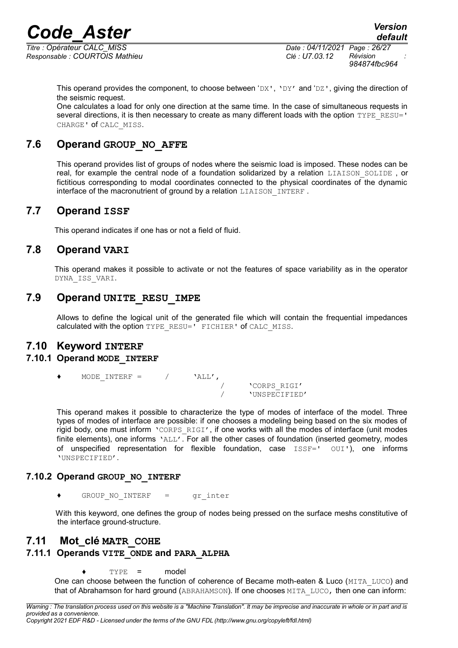*Responsable : COURTOIS Mathieu Clé : U7.03.12 Révision :*

*Titre : Opérateur CALC\_MISS Date : 04/11/2021 Page : 26/27 984874fbc964*

This operand provides the component, to choose between ' $DX'$ , ' $DY'$  and ' $DZ'$ , giving the direction of the seismic request.

One calculates a load for only one direction at the same time. In the case of simultaneous requests in several directions, it is then necessary to create as many different loads with the option TYPE\_RESU=' CHARGE' of CALC\_MISS.

# **7.6 Operand GROUP\_NO\_AFFE**

<span id="page-25-3"></span>This operand provides list of groups of nodes where the seismic load is imposed. These nodes can be real, for example the central node of a foundation solidarized by a relation LIAISON SOLIDE, or fictitious corresponding to modal coordinates connected to the physical coordinates of the dynamic interface of the macronutrient of ground by a relation LIAISON INTERF.

# **7.7 Operand ISSF**

<span id="page-25-2"></span><span id="page-25-1"></span>This operand indicates if one has or not a field of fluid.

# **7.8 Operand VARI**

This operand makes it possible to activate or not the features of space variability as in the operator DYNA\_ISS\_VARI.

# **7.9 Operand UNITE\_RESU\_IMPE**

<span id="page-25-8"></span><span id="page-25-0"></span>Allows to define the logical unit of the generated file which will contain the frequential impedances calculated with the option TYPE\_RESU=' FICHIER' of CALC\_MISS.

# **7.10 Keyword INTERF**

#### **7.10.1 Operand MODE\_INTERF**

<span id="page-25-7"></span> $\begin{array}{ccccc} \texttt{MODE\_INTERF} & = & \hspace{2.5cm} / & \hspace{2.5cm} \texttt{`ALL'} \texttt{,} \\ & & \hspace{2.5cm} / & \hspace{2.5cm} \end{array}$ 

/ 'CORPS\_RIGI' / 'UNSPECIFIED'

This operand makes it possible to characterize the type of modes of interface of the model. Three types of modes of interface are possible: if one chooses a modeling being based on the six modes of rigid body, one must inform 'CORPS RIGI', if one works with all the modes of interface (unit modes finite elements), one informs 'ALL'. For all the other cases of foundation (inserted geometry, modes of unspecified representation for flexible foundation, case ISSF=' OUI'), one informs 'UNSPECIFIED'.

#### **7.10.2 Operand GROUP\_NO\_INTERF**

<span id="page-25-6"></span>GROUP NO INTERF = gr inter

<span id="page-25-5"></span>With this keyword, one defines the group of nodes being pressed on the surface meshs constitutive of the interface ground-structure.

# **7.11 Mot\_clé MATR\_COHE**

### **7.11.1 Operands VITE\_ONDE and PARA\_ALPHA**

 $TYPE =$  model

<span id="page-25-4"></span>One can choose between the function of coherence of Became moth-eaten & Luco (MITA LUCO) and that of Abrahamson for hard ground (ABRAHAMSON). If one chooses MITA LUCO, then one can inform: